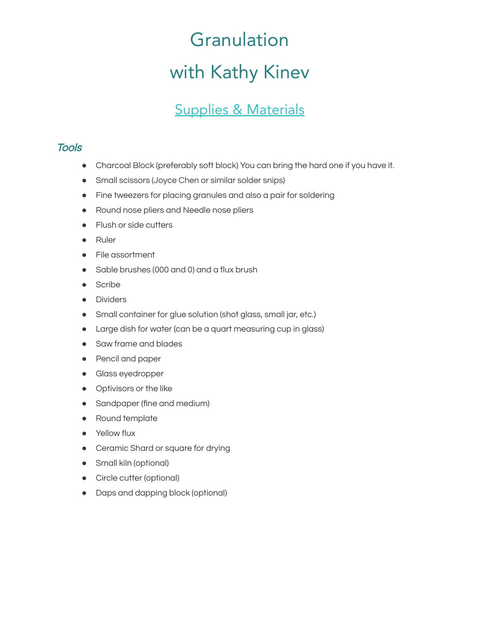## Granulation with Kathy Kinev

## Supplies & Materials

## **Tools**

- Charcoal Block (preferably soft block) You can bring the hard one if you have it.
- Small scissors (Joyce Chen or similar solder snips)
- Fine tweezers for placing granules and also a pair for soldering
- Round nose pliers and Needle nose pliers
- Flush or side cutters
- Ruler
- File assortment
- Sable brushes (000 and 0) and a flux brush
- Scribe
- Dividers
- Small container for glue solution (shot glass, small jar, etc.)
- Large dish for water (can be a quart measuring cup in glass)
- Saw frame and blades
- Pencil and paper
- Glass eyedropper
- Optivisors or the like
- Sandpaper (fine and medium)
- Round template
- **•** Yellow flux
- Ceramic Shard or square for drying
- Small kiln (optional)
- Circle cutter (optional)
- Daps and dapping block (optional)